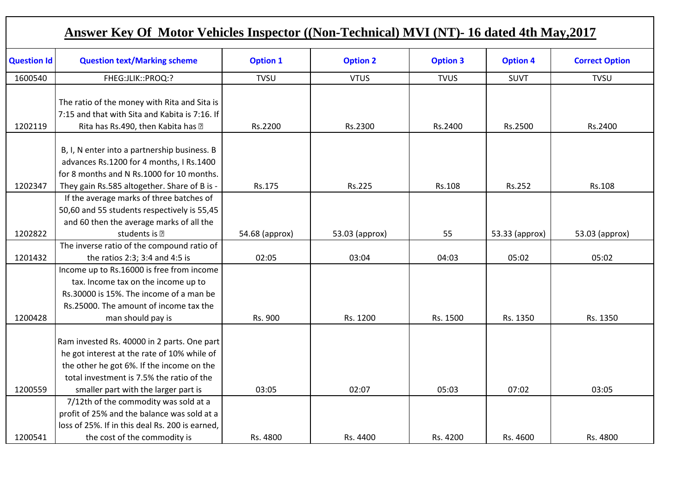|                    | <b>Answer Key Of Motor Vehicles Inspector ((Non-Technical) MVI (NT)- 16 dated 4th May, 2017</b>                                                                                            |                 |                 |                 |                 |                       |
|--------------------|--------------------------------------------------------------------------------------------------------------------------------------------------------------------------------------------|-----------------|-----------------|-----------------|-----------------|-----------------------|
| <b>Question Id</b> | <b>Question text/Marking scheme</b>                                                                                                                                                        | <b>Option 1</b> | <b>Option 2</b> | <b>Option 3</b> | <b>Option 4</b> | <b>Correct Option</b> |
| 1600540            | FHEG:JLIK::PROQ:?                                                                                                                                                                          | <b>TVSU</b>     | <b>VTUS</b>     | <b>TVUS</b>     | <b>SUVT</b>     | <b>TVSU</b>           |
| 1202119            | The ratio of the money with Rita and Sita is<br>7:15 and that with Sita and Kabita is 7:16. If<br>Rita has Rs.490, then Kabita has -                                                       | Rs.2200         | Rs.2300         | Rs.2400         | Rs.2500         | Rs.2400               |
| 1202347            | B, I, N enter into a partnership business. B<br>advances Rs.1200 for 4 months, I Rs.1400<br>for 8 months and N Rs.1000 for 10 months.<br>They gain Rs.585 altogether. Share of B is -      | Rs.175          | Rs.225          | Rs.108          | Rs.252          | Rs.108                |
| 1202822            | If the average marks of three batches of<br>50,60 and 55 students respectively is 55,45<br>and 60 then the average marks of all the<br>students is $-$                                     | 54.68 (approx)  | 53.03 (approx)  | 55              | 53.33 (approx)  | 53.03 (approx)        |
|                    | The inverse ratio of the compound ratio of                                                                                                                                                 |                 |                 |                 |                 |                       |
| 1201432            | the ratios 2:3; 3:4 and 4:5 is                                                                                                                                                             | 02:05           | 03:04           | 04:03           | 05:02           | 05:02                 |
| 1200428            | Income up to Rs.16000 is free from income<br>tax. Income tax on the income up to<br>Rs.30000 is 15%. The income of a man be<br>Rs.25000. The amount of income tax the<br>man should pay is | Rs. 900         | Rs. 1200        | Rs. 1500        | Rs. 1350        | Rs. 1350              |
|                    | Ram invested Rs. 40000 in 2 parts. One part<br>he got interest at the rate of 10% while of<br>the other he got 6%. If the income on the<br>total investment is 7.5% the ratio of the       |                 |                 |                 |                 |                       |
| 1200559            | smaller part with the larger part is                                                                                                                                                       | 03:05           | 02:07           | 05:03           | 07:02           | 03:05                 |
| 1200541            | 7/12th of the commodity was sold at a<br>profit of 25% and the balance was sold at a<br>loss of 25%. If in this deal Rs. 200 is earned,<br>the cost of the commodity is                    | Rs. 4800        | Rs. 4400        | Rs. 4200        | Rs. 4600        | Rs. 4800              |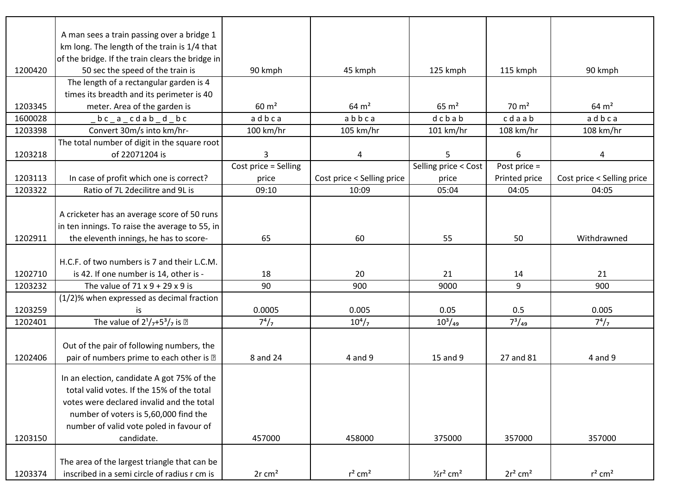|         | A man sees a train passing over a bridge 1<br>km long. The length of the train is 1/4 that |                      |                            |                          |                        |                            |
|---------|--------------------------------------------------------------------------------------------|----------------------|----------------------------|--------------------------|------------------------|----------------------------|
|         | of the bridge. If the train clears the bridge in                                           |                      |                            |                          |                        |                            |
| 1200420 | 50 sec the speed of the train is                                                           | 90 kmph              | 45 kmph                    | 125 kmph                 | 115 kmph               | 90 kmph                    |
|         | The length of a rectangular garden is 4                                                    |                      |                            |                          |                        |                            |
|         | times its breadth and its perimeter is 40                                                  |                      |                            |                          |                        |                            |
| 1203345 | meter. Area of the garden is                                                               | $60 \text{ m}^2$     | $64 \text{ m}^2$           | $65 \text{ m}^2$         | $70 \text{ m}^2$       | $64 \text{ m}^2$           |
| 1600028 | $bc$ $a$ $cd$ $ab$ $d$ $bc$                                                                | adbca                | abbca                      | dcbab                    | cdaab                  | adbca                      |
| 1203398 | Convert 30m/s into km/hr-                                                                  | 100 km/hr            | 105 km/hr                  | 101 km/hr                | 108 km/hr              | 108 km/hr                  |
|         | The total number of digit in the square root                                               |                      |                            |                          |                        |                            |
| 1203218 | of 22071204 is                                                                             | 3                    | 4                          | 5                        | 6                      | 4                          |
|         |                                                                                            | Cost price = Selling |                            | Selling price < Cost     | Post price $=$         |                            |
| 1203113 | In case of profit which one is correct?                                                    | price                | Cost price < Selling price | price                    | Printed price          | Cost price < Selling price |
| 1203322 | Ratio of 7L 2decilitre and 9L is                                                           | 09:10                | 10:09                      | 05:04                    | 04:05                  | 04:05                      |
|         |                                                                                            |                      |                            |                          |                        |                            |
|         | A cricketer has an average score of 50 runs                                                |                      |                            |                          |                        |                            |
|         | in ten innings. To raise the average to 55, in                                             |                      |                            |                          |                        |                            |
| 1202911 | the eleventh innings, he has to score-                                                     | 65                   | 60                         | 55                       | 50                     | Withdrawned                |
|         |                                                                                            |                      |                            |                          |                        |                            |
|         | H.C.F. of two numbers is 7 and their L.C.M.                                                |                      |                            |                          |                        |                            |
| 1202710 | is 42. If one number is 14, other is -                                                     | 18                   | 20                         | 21                       | 14                     | 21                         |
| 1203232 | The value of $71 \times 9 + 29 \times 9$ is                                                | 90                   | 900                        | 9000                     | 9                      | 900                        |
|         | (1/2)% when expressed as decimal fraction                                                  |                      |                            |                          |                        |                            |
| 1203259 | is                                                                                         | 0.0005               | 0.005                      | 0.05                     | 0.5                    | 0.005                      |
| 1202401 | The value of $2^{1}/7+5^{3}/7$ is -                                                        | $7^4/7$              | $10^{4}/_{7}$              | $10^3/\text{kg}$         | $7^3/49$               | $7^4/7$                    |
|         |                                                                                            |                      |                            |                          |                        |                            |
|         | Out of the pair of following numbers, the                                                  |                      |                            |                          |                        |                            |
| 1202406 | pair of numbers prime to each other is -                                                   | 8 and 24             | 4 and 9                    | 15 and 9                 | 27 and 81              | 4 and 9                    |
|         | In an election, candidate A got 75% of the                                                 |                      |                            |                          |                        |                            |
|         | total valid votes. If the 15% of the total                                                 |                      |                            |                          |                        |                            |
|         | votes were declared invalid and the total                                                  |                      |                            |                          |                        |                            |
|         | number of voters is 5,60,000 find the                                                      |                      |                            |                          |                        |                            |
|         | number of valid vote poled in favour of                                                    |                      |                            |                          |                        |                            |
| 1203150 | candidate.                                                                                 | 457000               | 458000                     | 375000                   | 357000                 | 357000                     |
|         |                                                                                            |                      |                            |                          |                        |                            |
|         | The area of the largest triangle that can be                                               |                      |                            |                          |                        |                            |
| 1203374 | inscribed in a semi circle of radius r cm is                                               | $2r$ cm <sup>2</sup> | $r^2$ cm <sup>2</sup>      | $1/2r^2$ cm <sup>2</sup> | $2r^2$ cm <sup>2</sup> | $r^2$ cm <sup>2</sup>      |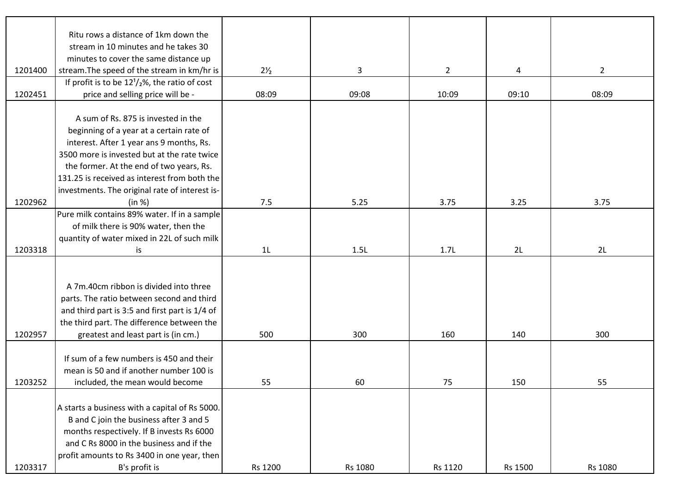|         | Ritu rows a distance of 1km down the                   |                |         |                |         |                |
|---------|--------------------------------------------------------|----------------|---------|----------------|---------|----------------|
|         | stream in 10 minutes and he takes 30                   |                |         |                |         |                |
|         | minutes to cover the same distance up                  |                |         |                |         |                |
| 1201400 | stream. The speed of the stream in km/hr is            | $2\frac{1}{2}$ | 3       | $\overline{2}$ | 4       | $\overline{2}$ |
|         | If profit is to be $12^{1}/_{2}\%$ , the ratio of cost |                |         |                |         |                |
| 1202451 | price and selling price will be -                      | 08:09          | 09:08   | 10:09          | 09:10   | 08:09          |
|         |                                                        |                |         |                |         |                |
|         | A sum of Rs. 875 is invested in the                    |                |         |                |         |                |
|         | beginning of a year at a certain rate of               |                |         |                |         |                |
|         | interest. After 1 year ans 9 months, Rs.               |                |         |                |         |                |
|         | 3500 more is invested but at the rate twice            |                |         |                |         |                |
|         | the former. At the end of two years, Rs.               |                |         |                |         |                |
|         | 131.25 is received as interest from both the           |                |         |                |         |                |
|         | investments. The original rate of interest is-         |                |         |                |         |                |
| 1202962 | (in %)                                                 | 7.5            | 5.25    | 3.75           | 3.25    | 3.75           |
|         | Pure milk contains 89% water. If in a sample           |                |         |                |         |                |
|         | of milk there is 90% water, then the                   |                |         |                |         |                |
|         | quantity of water mixed in 22L of such milk            |                |         |                |         |                |
| 1203318 | is                                                     | 1 <sub>L</sub> | 1.5L    | 1.7L           | 2L      | 2L             |
|         |                                                        |                |         |                |         |                |
|         |                                                        |                |         |                |         |                |
|         | A 7m.40cm ribbon is divided into three                 |                |         |                |         |                |
|         | parts. The ratio between second and third              |                |         |                |         |                |
|         | and third part is 3:5 and first part is 1/4 of         |                |         |                |         |                |
|         | the third part. The difference between the             |                |         |                |         |                |
| 1202957 | greatest and least part is (in cm.)                    | 500            | 300     | 160            | 140     | 300            |
|         |                                                        |                |         |                |         |                |
|         | If sum of a few numbers is 450 and their               |                |         |                |         |                |
|         | mean is 50 and if another number 100 is                |                |         |                |         |                |
| 1203252 | included, the mean would become                        | 55             | 60      | 75             | 150     | 55             |
|         |                                                        |                |         |                |         |                |
|         | A starts a business with a capital of Rs 5000.         |                |         |                |         |                |
|         | B and C join the business after 3 and 5                |                |         |                |         |                |
|         | months respectively. If B invests Rs 6000              |                |         |                |         |                |
|         | and C Rs 8000 in the business and if the               |                |         |                |         |                |
|         | profit amounts to Rs 3400 in one year, then            |                |         |                |         |                |
| 1203317 | B's profit is                                          | Rs 1200        | Rs 1080 | Rs 1120        | Rs 1500 | Rs 1080        |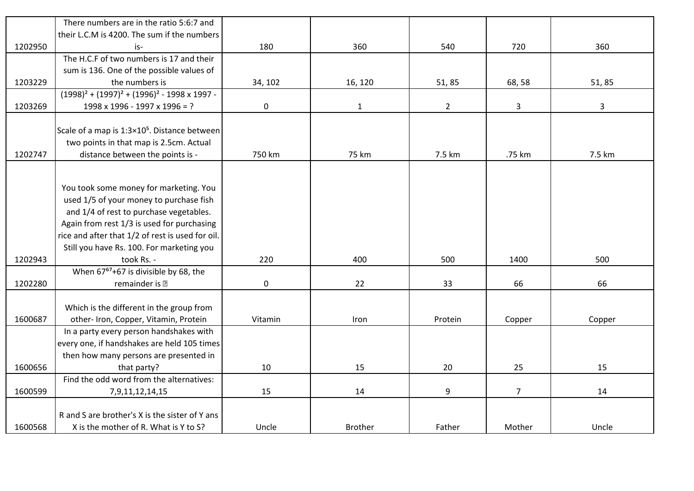|         | There numbers are in the ratio 5:6:7 and                    |             |                |                |                |        |
|---------|-------------------------------------------------------------|-------------|----------------|----------------|----------------|--------|
|         | their L.C.M is 4200. The sum if the numbers                 |             |                |                |                |        |
| 1202950 | is-                                                         | 180         | 360            | 540            | 720            | 360    |
|         | The H.C.F of two numbers is 17 and their                    |             |                |                |                |        |
|         | sum is 136. One of the possible values of                   |             |                |                |                |        |
| 1203229 | the numbers is                                              | 34, 102     | 16, 120        | 51,85          | 68,58          | 51,85  |
|         | $(1998)^{2} + (1997)^{2} + (1996)^{2} - 1998 \times 1997 -$ |             |                |                |                |        |
| 1203269 | 1998 x 1996 - 1997 x 1996 = ?                               | $\mathbf 0$ | $\mathbf{1}$   | $\overline{2}$ | $\mathbf{3}$   | 3      |
|         |                                                             |             |                |                |                |        |
|         | Scale of a map is 1:3×10 <sup>5</sup> . Distance between    |             |                |                |                |        |
|         | two points in that map is 2.5cm. Actual                     |             |                |                |                |        |
| 1202747 | distance between the points is -                            | 750 km      | 75 km          | 7.5 km         | .75 km         | 7.5 km |
|         |                                                             |             |                |                |                |        |
|         |                                                             |             |                |                |                |        |
|         | You took some money for marketing. You                      |             |                |                |                |        |
|         | used 1/5 of your money to purchase fish                     |             |                |                |                |        |
|         | and 1/4 of rest to purchase vegetables.                     |             |                |                |                |        |
|         | Again from rest 1/3 is used for purchasing                  |             |                |                |                |        |
|         | rice and after that 1/2 of rest is used for oil.            |             |                |                |                |        |
|         | Still you have Rs. 100. For marketing you                   |             |                |                |                |        |
| 1202943 | took Rs. -                                                  | 220         | 400            | 500            | 1400           | 500    |
|         | When 67 <sup>67</sup> +67 is divisible by 68, the           |             |                |                |                |        |
| 1202280 | remainder is -                                              | $\pmb{0}$   | 22             | 33             | 66             | 66     |
|         |                                                             |             |                |                |                |        |
|         | Which is the different in the group from                    |             |                |                |                |        |
| 1600687 | other- Iron, Copper, Vitamin, Protein                       | Vitamin     | Iron           | Protein        | Copper         | Copper |
|         | In a party every person handshakes with                     |             |                |                |                |        |
|         | every one, if handshakes are held 105 times                 |             |                |                |                |        |
|         | then how many persons are presented in                      |             |                |                |                |        |
| 1600656 | that party?                                                 | 10          | 15             | 20             | 25             | 15     |
|         | Find the odd word from the alternatives:                    |             |                |                |                |        |
| 1600599 | 7, 9, 11, 12, 14, 15                                        | 15          | 14             | 9              | $\overline{7}$ | 14     |
|         |                                                             |             |                |                |                |        |
|         | R and S are brother's X is the sister of Y ans              |             |                |                |                |        |
| 1600568 | X is the mother of R. What is Y to S?                       | Uncle       | <b>Brother</b> | Father         | Mother         | Uncle  |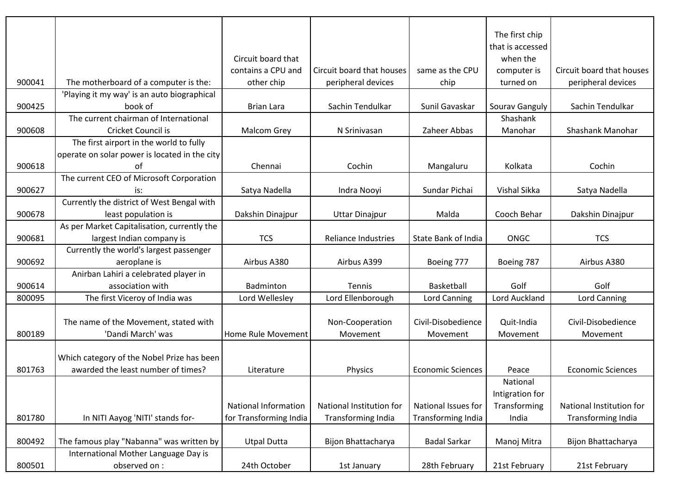|        |                                                       |                             |                            |                           | The first chip   |                           |
|--------|-------------------------------------------------------|-----------------------------|----------------------------|---------------------------|------------------|---------------------------|
|        |                                                       |                             |                            |                           | that is accessed |                           |
|        |                                                       | Circuit board that          |                            |                           | when the         |                           |
|        |                                                       | contains a CPU and          | Circuit board that houses  | same as the CPU           | computer is      | Circuit board that houses |
| 900041 | The motherboard of a computer is the:                 | other chip                  | peripheral devices         | chip                      | turned on        | peripheral devices        |
|        | 'Playing it my way' is an auto biographical           |                             |                            |                           |                  |                           |
| 900425 | book of                                               | <b>Brian Lara</b>           | Sachin Tendulkar           | Sunil Gavaskar            | Sourav Ganguly   | Sachin Tendulkar          |
|        | The current chairman of International                 |                             |                            |                           | Shashank         |                           |
| 900608 | Cricket Council is                                    | <b>Malcom Grey</b>          | N Srinivasan               | Zaheer Abbas              | Manohar          | Shashank Manohar          |
|        | The first airport in the world to fully               |                             |                            |                           |                  |                           |
|        | operate on solar power is located in the city         |                             |                            |                           |                  |                           |
| 900618 | of                                                    | Chennai                     | Cochin                     | Mangaluru                 | Kolkata          | Cochin                    |
|        | The current CEO of Microsoft Corporation              |                             |                            |                           |                  |                           |
| 900627 | is:                                                   | Satya Nadella               | Indra Nooyi                | Sundar Pichai             | Vishal Sikka     | Satya Nadella             |
|        | Currently the district of West Bengal with            |                             |                            |                           |                  |                           |
| 900678 | least population is                                   |                             |                            | Malda                     | Cooch Behar      |                           |
|        | As per Market Capitalisation, currently the           | Dakshin Dinajpur            | <b>Uttar Dinajpur</b>      |                           |                  | Dakshin Dinajpur          |
| 900681 | largest Indian company is                             | <b>TCS</b>                  | <b>Reliance Industries</b> | State Bank of India       | ONGC             | <b>TCS</b>                |
|        | Currently the world's largest passenger               |                             |                            |                           |                  |                           |
|        |                                                       | Airbus A380                 |                            |                           |                  |                           |
| 900692 | aeroplane is<br>Anirban Lahiri a celebrated player in |                             | Airbus A399                | Boeing 777                | Boeing 787       | Airbus A380               |
|        |                                                       |                             |                            |                           | Golf             | Golf                      |
| 900614 | association with                                      | <b>Badminton</b>            | Tennis                     | Basketball                |                  |                           |
| 800095 | The first Viceroy of India was                        | Lord Wellesley              | Lord Ellenborough          | Lord Canning              | Lord Auckland    | <b>Lord Canning</b>       |
|        |                                                       |                             |                            |                           |                  |                           |
|        | The name of the Movement, stated with                 |                             | Non-Cooperation            | Civil-Disobedience        | Quit-India       | Civil-Disobedience        |
| 800189 | 'Dandi March' was                                     | Home Rule Movement          | Movement                   | Movement                  | Movement         | Movement                  |
|        |                                                       |                             |                            |                           |                  |                           |
|        | Which category of the Nobel Prize has been            |                             |                            |                           |                  |                           |
| 801763 | awarded the least number of times?                    | Literature                  | Physics                    | <b>Economic Sciences</b>  | Peace            | <b>Economic Sciences</b>  |
|        |                                                       |                             |                            |                           | National         |                           |
|        |                                                       |                             |                            |                           | Intigration for  |                           |
|        |                                                       | <b>National Information</b> | National Institution for   | National Issues for       | Transforming     | National Institution for  |
| 801780 | In NITI Aayog 'NITI' stands for-                      | for Transforming India      | <b>Transforming India</b>  | <b>Transforming India</b> | India            | Transforming India        |
|        |                                                       |                             |                            |                           |                  |                           |
| 800492 | The famous play "Nabanna" was written by              | <b>Utpal Dutta</b>          | Bijon Bhattacharya         | <b>Badal Sarkar</b>       | Manoj Mitra      | Bijon Bhattacharya        |
|        | International Mother Language Day is                  |                             |                            |                           |                  |                           |
| 800501 | observed on :                                         | 24th October                | 1st January                | 28th February             | 21st February    | 21st February             |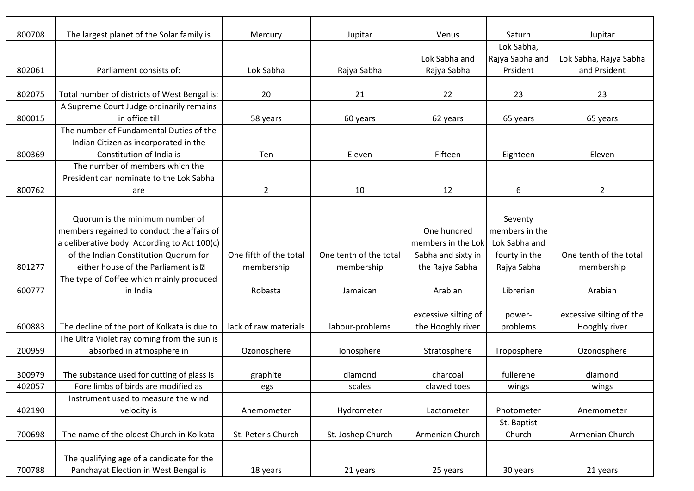| 800708 | The largest planet of the Solar family is    | Mercury                | Jupitar                | Venus                | Saturn          | Jupitar                  |
|--------|----------------------------------------------|------------------------|------------------------|----------------------|-----------------|--------------------------|
|        |                                              |                        |                        |                      | Lok Sabha,      |                          |
|        |                                              |                        |                        | Lok Sabha and        | Rajya Sabha and | Lok Sabha, Rajya Sabha   |
| 802061 | Parliament consists of:                      | Lok Sabha              | Rajya Sabha            | Rajya Sabha          | Prsident        | and Prsident             |
|        |                                              |                        |                        |                      |                 |                          |
| 802075 | Total number of districts of West Bengal is: | 20                     | 21                     | 22                   | 23              | 23                       |
|        | A Supreme Court Judge ordinarily remains     |                        |                        |                      |                 |                          |
| 800015 | in office till                               | 58 years               | 60 years               | 62 years             | 65 years        | 65 years                 |
|        | The number of Fundamental Duties of the      |                        |                        |                      |                 |                          |
|        | Indian Citizen as incorporated in the        |                        |                        |                      |                 |                          |
| 800369 | Constitution of India is                     | Ten                    | Eleven                 | Fifteen              | Eighteen        | Eleven                   |
|        | The number of members which the              |                        |                        |                      |                 |                          |
|        | President can nominate to the Lok Sabha      |                        |                        |                      |                 |                          |
| 800762 | are                                          | $\overline{2}$         | 10                     | 12                   | 6               | $\overline{2}$           |
|        |                                              |                        |                        |                      |                 |                          |
|        | Quorum is the minimum number of              |                        |                        |                      | Seventy         |                          |
|        | members regained to conduct the affairs of   |                        |                        | One hundred          | members in the  |                          |
|        | a deliberative body. According to Act 100(c) |                        |                        | members in the Lok   | Lok Sabha and   |                          |
|        | of the Indian Constitution Quorum for        | One fifth of the total | One tenth of the total | Sabha and sixty in   | fourty in the   | One tenth of the total   |
| 801277 | either house of the Parliament is -          | membership             | membership             | the Rajya Sabha      | Rajya Sabha     | membership               |
|        | The type of Coffee which mainly produced     |                        |                        |                      |                 |                          |
| 600777 | in India                                     | Robasta                | Jamaican               | Arabian              | Librerian       | Arabian                  |
|        |                                              |                        |                        |                      |                 |                          |
|        |                                              |                        |                        | excessive silting of | power-          | excessive silting of the |
| 600883 | The decline of the port of Kolkata is due to | lack of raw materials  | labour-problems        | the Hooghly river    | problems        | Hooghly river            |
|        | The Ultra Violet ray coming from the sun is  |                        |                        |                      |                 |                          |
| 200959 | absorbed in atmosphere in                    | Ozonosphere            | Ionosphere             | Stratosphere         | Troposphere     | Ozonosphere              |
|        |                                              |                        |                        |                      |                 |                          |
| 300979 | The substance used for cutting of glass is   | graphite               | diamond                | charcoal             | fullerene       | diamond                  |
| 402057 | Fore limbs of birds are modified as          | legs                   | scales                 | clawed toes          | wings           | wings                    |
|        | Instrument used to measure the wind          |                        |                        |                      |                 |                          |
| 402190 | velocity is                                  | Anemometer             | Hydrometer             | Lactometer           | Photometer      | Anemometer               |
|        |                                              |                        |                        |                      | St. Baptist     |                          |
| 700698 | The name of the oldest Church in Kolkata     | St. Peter's Church     | St. Joshep Church      | Armenian Church      | Church          | Armenian Church          |
|        |                                              |                        |                        |                      |                 |                          |
|        | The qualifying age of a candidate for the    |                        |                        |                      |                 |                          |
| 700788 | Panchayat Election in West Bengal is         | 18 years               | 21 years               | 25 years             | 30 years        | 21 years                 |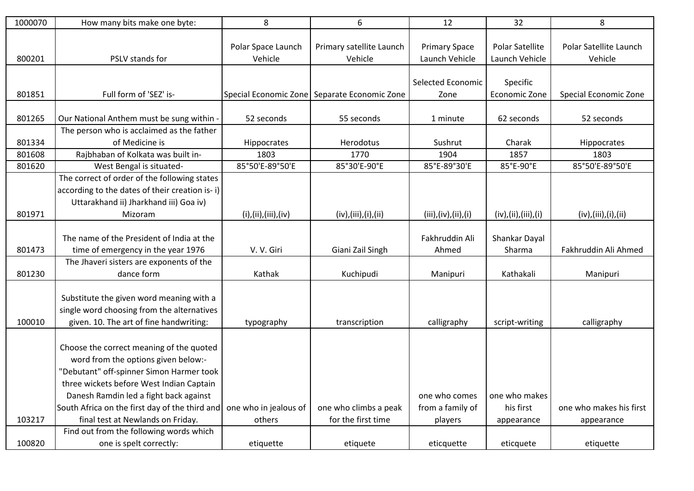| 1000070 | How many bits make one byte:                   | 8                             | 6                                            | 12                                     | 32                                | 8                                 |
|---------|------------------------------------------------|-------------------------------|----------------------------------------------|----------------------------------------|-----------------------------------|-----------------------------------|
| 800201  | PSLV stands for                                | Polar Space Launch<br>Vehicle | Primary satellite Launch<br>Vehicle          | <b>Primary Space</b><br>Launch Vehicle | Polar Satellite<br>Launch Vehicle | Polar Satellite Launch<br>Vehicle |
|         |                                                |                               |                                              |                                        |                                   |                                   |
|         |                                                |                               |                                              | Selected Economic                      | Specific                          |                                   |
| 801851  | Full form of 'SEZ' is-                         |                               | Special Economic Zone Separate Economic Zone | Zone                                   | Economic Zone                     | Special Economic Zone             |
|         |                                                |                               |                                              |                                        |                                   |                                   |
| 801265  | Our National Anthem must be sung within -      | 52 seconds                    | 55 seconds                                   | 1 minute                               | 62 seconds                        | 52 seconds                        |
|         | The person who is acclaimed as the father      |                               |                                              |                                        |                                   |                                   |
| 801334  | of Medicine is                                 | Hippocrates                   | Herodotus                                    | Sushrut                                | Charak                            | Hippocrates                       |
| 801608  | Rajbhaban of Kolkata was built in-             | 1803                          | 1770                                         | 1904                                   | 1857                              | 1803                              |
| 801620  | West Bengal is situated-                       | 85°50'E-89°50'E               | 85°30'E-90°E                                 | 85°E-89°30'E                           | 85°E-90°E                         | 85°50'E-89°50'E                   |
|         | The correct of order of the following states   |                               |                                              |                                        |                                   |                                   |
|         | according to the dates of their creation is-i) |                               |                                              |                                        |                                   |                                   |
|         | Uttarakhand ii) Jharkhand iii) Goa iv)         |                               |                                              |                                        |                                   |                                   |
| 801971  | Mizoram                                        | (i), (ii), (iii), (iv)        | (iv), (iii), (i), (ii)                       | (iii), (iv), (ii), (i)                 | (iv), (ii), (iii), (i)            | (iv), (iii), (i), (ii)            |
|         |                                                |                               |                                              |                                        |                                   |                                   |
|         | The name of the President of India at the      |                               |                                              | Fakhruddin Ali                         | Shankar Dayal                     |                                   |
| 801473  | time of emergency in the year 1976             | V.V. Giri                     | Giani Zail Singh                             | Ahmed                                  | Sharma                            | Fakhruddin Ali Ahmed              |
|         | The Jhaveri sisters are exponents of the       |                               |                                              |                                        |                                   |                                   |
| 801230  | dance form                                     | Kathak                        | Kuchipudi                                    | Manipuri                               | Kathakali                         | Manipuri                          |
|         |                                                |                               |                                              |                                        |                                   |                                   |
|         | Substitute the given word meaning with a       |                               |                                              |                                        |                                   |                                   |
| 100010  | single word choosing from the alternatives     |                               |                                              |                                        |                                   |                                   |
|         | given. 10. The art of fine handwriting:        | typography                    | transcription                                | calligraphy                            | script-writing                    | calligraphy                       |
|         |                                                |                               |                                              |                                        |                                   |                                   |
|         | Choose the correct meaning of the quoted       |                               |                                              |                                        |                                   |                                   |
|         | word from the options given below:-            |                               |                                              |                                        |                                   |                                   |
|         | "Debutant" off-spinner Simon Harmer took       |                               |                                              |                                        |                                   |                                   |
|         | three wickets before West Indian Captain       |                               |                                              |                                        |                                   |                                   |
|         | Danesh Ramdin led a fight back against         |                               |                                              | one who comes                          | one who makes                     | one who makes his first           |
|         | South Africa on the first day of the third and | one who in jealous of         | one who climbs a peak                        | from a family of                       | his first                         |                                   |
| 103217  | final test at Newlands on Friday.              | others                        | for the first time                           | players                                | appearance                        | appearance                        |
|         | Find out from the following words which        |                               |                                              |                                        |                                   |                                   |
| 100820  | one is spelt correctly:                        | etiquette                     | etiquete                                     | eticquette                             | eticquete                         | etiquette                         |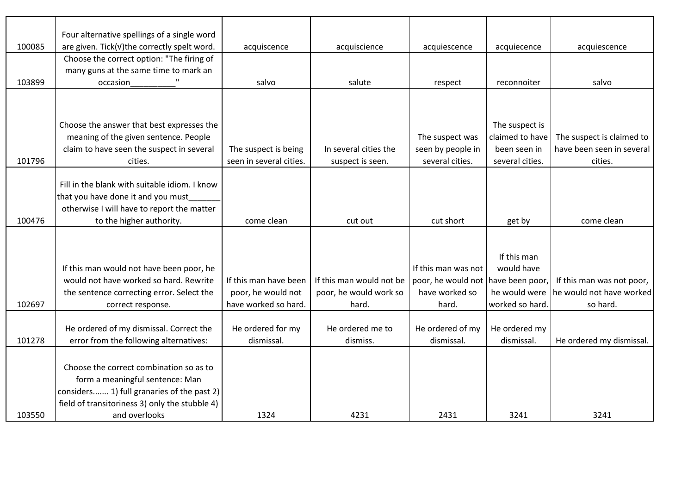|        | Four alternative spellings of a single word    |                         |                          |                     |                 |                           |
|--------|------------------------------------------------|-------------------------|--------------------------|---------------------|-----------------|---------------------------|
| 100085 | are given. Tick(v)the correctly spelt word.    | acquiscence             | acquiscience             | acquiescence        | acquiecence     | acquiescence              |
|        | Choose the correct option: "The firing of      |                         |                          |                     |                 |                           |
|        | many guns at the same time to mark an          |                         |                          |                     |                 |                           |
| 103899 | occasion                                       | salvo                   | salute                   | respect             | reconnoiter     | salvo                     |
|        |                                                |                         |                          |                     |                 |                           |
|        |                                                |                         |                          |                     |                 |                           |
|        | Choose the answer that best expresses the      |                         |                          |                     | The suspect is  |                           |
|        | meaning of the given sentence. People          |                         |                          | The suspect was     | claimed to have | The suspect is claimed to |
|        | claim to have seen the suspect in several      | The suspect is being    | In several cities the    | seen by people in   | been seen in    | have been seen in several |
| 101796 | cities.                                        | seen in several cities. | suspect is seen.         | several cities.     | several cities. | cities.                   |
|        |                                                |                         |                          |                     |                 |                           |
|        | Fill in the blank with suitable idiom. I know  |                         |                          |                     |                 |                           |
|        | that you have done it and you must             |                         |                          |                     |                 |                           |
|        | otherwise I will have to report the matter     |                         |                          |                     |                 |                           |
| 100476 | to the higher authority.                       | come clean              | cut out                  | cut short           | get by          | come clean                |
|        |                                                |                         |                          |                     |                 |                           |
|        |                                                |                         |                          |                     |                 |                           |
|        |                                                |                         |                          |                     | If this man     |                           |
|        | If this man would not have been poor, he       |                         |                          | If this man was not | would have      |                           |
|        | would not have worked so hard. Rewrite         | If this man have been   | If this man would not be | poor, he would not  | have been poor, | If this man was not poor, |
|        | the sentence correcting error. Select the      | poor, he would not      | poor, he would work so   | have worked so      | he would were   | he would not have worked  |
| 102697 | correct response.                              | have worked so hard.    | hard.                    | hard.               | worked so hard  | so hard.                  |
|        |                                                |                         |                          |                     |                 |                           |
|        | He ordered of my dismissal. Correct the        | He ordered for my       | He ordered me to         | He ordered of my    | He ordered my   |                           |
| 101278 | error from the following alternatives:         | dismissal.              | dismiss.                 | dismissal.          | dismissal.      | He ordered my dismissal.  |
|        |                                                |                         |                          |                     |                 |                           |
|        | Choose the correct combination so as to        |                         |                          |                     |                 |                           |
|        | form a meaningful sentence: Man                |                         |                          |                     |                 |                           |
|        | considers 1) full granaries of the past 2)     |                         |                          |                     |                 |                           |
|        | field of transitoriness 3) only the stubble 4) |                         |                          |                     |                 |                           |
| 103550 | and overlooks                                  | 1324                    | 4231                     | 2431                | 3241            | 3241                      |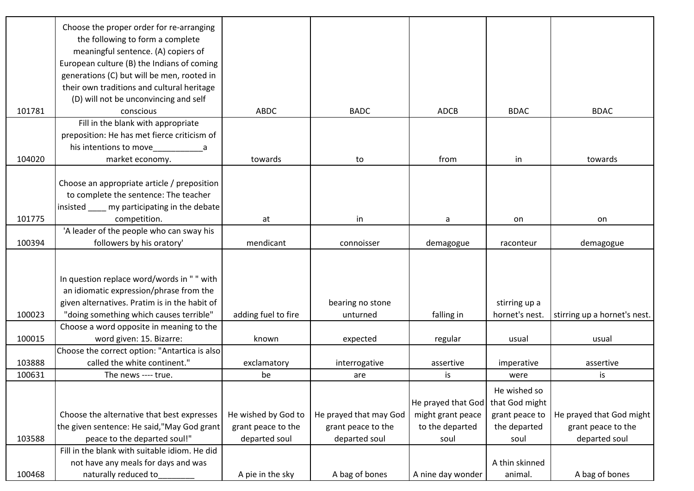|        | Choose the proper order for re-arranging      |                     |                        |                    |                |                              |
|--------|-----------------------------------------------|---------------------|------------------------|--------------------|----------------|------------------------------|
|        | the following to form a complete              |                     |                        |                    |                |                              |
|        | meaningful sentence. (A) copiers of           |                     |                        |                    |                |                              |
|        | European culture (B) the Indians of coming    |                     |                        |                    |                |                              |
|        | generations (C) but will be men, rooted in    |                     |                        |                    |                |                              |
|        | their own traditions and cultural heritage    |                     |                        |                    |                |                              |
|        | (D) will not be unconvincing and self         |                     |                        |                    |                |                              |
| 101781 | conscious                                     | <b>ABDC</b>         | <b>BADC</b>            | <b>ADCB</b>        | <b>BDAC</b>    | <b>BDAC</b>                  |
|        | Fill in the blank with appropriate            |                     |                        |                    |                |                              |
|        | preposition: He has met fierce criticism of   |                     |                        |                    |                |                              |
|        | his intentions to move a manufactured         |                     |                        |                    |                |                              |
| 104020 | market economy.                               | towards             | to                     | from               | in             | towards                      |
|        |                                               |                     |                        |                    |                |                              |
|        | Choose an appropriate article / preposition   |                     |                        |                    |                |                              |
|        | to complete the sentence: The teacher         |                     |                        |                    |                |                              |
|        | insisted _____ my participating in the debate |                     |                        |                    |                |                              |
| 101775 | competition.                                  | at                  | in                     | a                  | on             | on                           |
|        | 'A leader of the people who can sway his      |                     |                        |                    |                |                              |
| 100394 | followers by his oratory'                     | mendicant           | connoisser             | demagogue          | raconteur      | demagogue                    |
|        |                                               |                     |                        |                    |                |                              |
|        |                                               |                     |                        |                    |                |                              |
|        | In question replace word/words in "" with     |                     |                        |                    |                |                              |
|        | an idiomatic expression/phrase from the       |                     |                        |                    |                |                              |
|        | given alternatives. Pratim is in the habit of |                     | bearing no stone       |                    | stirring up a  |                              |
| 100023 | "doing something which causes terrible"       | adding fuel to fire | unturned               | falling in         | hornet's nest. | stirring up a hornet's nest. |
|        | Choose a word opposite in meaning to the      |                     |                        |                    |                |                              |
| 100015 | word given: 15. Bizarre:                      | known               | expected               | regular            | usual          | usual                        |
|        | Choose the correct option: "Antartica is also |                     |                        |                    |                |                              |
| 103888 | called the white continent."                  | exclamatory         | interrogative          | assertive          | imperative     | assertive                    |
| 100631 | The news ---- true.                           | be                  | are                    | is                 | were           | is                           |
|        |                                               |                     |                        |                    | He wished so   |                              |
|        |                                               |                     |                        | He prayed that God | that God might |                              |
|        | Choose the alternative that best expresses    | He wished by God to | He prayed that may God | might grant peace  | grant peace to | He prayed that God might     |
|        | the given sentence: He said,"May God grant    | grant peace to the  | grant peace to the     | to the departed    | the departed   | grant peace to the           |
| 103588 | peace to the departed soul!"                  | departed soul       | departed soul          | soul               | soul           | departed soul                |
|        | Fill in the blank with suitable idiom. He did |                     |                        |                    |                |                              |
|        | not have any meals for days and was           |                     |                        |                    | A thin skinned |                              |
| 100468 | naturally reduced to                          | A pie in the sky    | A bag of bones         | A nine day wonder  | animal.        | A bag of bones               |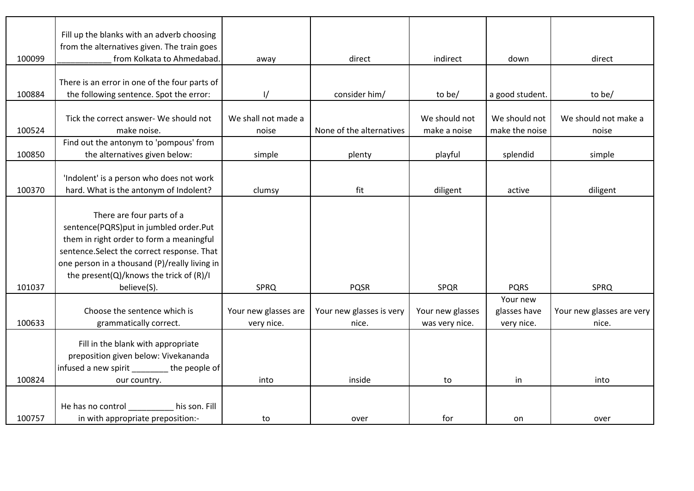|        | Fill up the blanks with an adverb choosing                                               |                      |                          |                  |                 |                           |
|--------|------------------------------------------------------------------------------------------|----------------------|--------------------------|------------------|-----------------|---------------------------|
|        | from the alternatives given. The train goes                                              |                      |                          |                  |                 |                           |
| 100099 | from Kolkata to Ahmedabad.                                                               | away                 | direct                   | indirect         | down            | direct                    |
|        |                                                                                          |                      |                          |                  |                 |                           |
| 100884 | There is an error in one of the four parts of<br>the following sentence. Spot the error: | $\frac{1}{2}$        | consider him/            | to be/           | a good student. | to be/                    |
|        |                                                                                          |                      |                          |                  |                 |                           |
|        | Tick the correct answer- We should not                                                   | We shall not made a  |                          | We should not    | We should not   | We should not make a      |
| 100524 | make noise.                                                                              | noise                | None of the alternatives | make a noise     | make the noise  | noise                     |
|        | Find out the antonym to 'pompous' from                                                   |                      |                          |                  |                 |                           |
| 100850 | the alternatives given below:                                                            | simple               | plenty                   | playful          | splendid        | simple                    |
|        |                                                                                          |                      |                          |                  |                 |                           |
|        | 'Indolent' is a person who does not work                                                 |                      |                          |                  |                 |                           |
| 100370 | hard. What is the antonym of Indolent?                                                   | clumsy               | fit                      | diligent         | active          | diligent                  |
|        |                                                                                          |                      |                          |                  |                 |                           |
|        | There are four parts of a                                                                |                      |                          |                  |                 |                           |
|        | sentence(PQRS)put in jumbled order.Put                                                   |                      |                          |                  |                 |                           |
|        | them in right order to form a meaningful                                                 |                      |                          |                  |                 |                           |
|        | sentence.Select the correct response. That                                               |                      |                          |                  |                 |                           |
|        | one person in a thousand (P)/really living in                                            |                      |                          |                  |                 |                           |
|        | the present(Q)/knows the trick of (R)/I                                                  |                      |                          |                  |                 |                           |
| 101037 | believe(S).                                                                              | <b>SPRQ</b>          | <b>PQSR</b>              | <b>SPQR</b>      | <b>PQRS</b>     | <b>SPRQ</b>               |
|        |                                                                                          |                      |                          |                  | Your new        |                           |
|        | Choose the sentence which is                                                             | Your new glasses are | Your new glasses is very | Your new glasses | glasses have    | Your new glasses are very |
| 100633 | grammatically correct.                                                                   | very nice.           | nice.                    | was very nice.   | very nice.      | nice.                     |
|        | Fill in the blank with appropriate                                                       |                      |                          |                  |                 |                           |
|        | preposition given below: Vivekananda                                                     |                      |                          |                  |                 |                           |
|        | infused a new spirit ________ the people of                                              |                      |                          |                  |                 |                           |
| 100824 | our country.                                                                             | into                 | inside                   | to               | in              | into                      |
|        |                                                                                          |                      |                          |                  |                 |                           |
|        | his son. Fill<br>He has no control                                                       |                      |                          |                  |                 |                           |
| 100757 | in with appropriate preposition:-                                                        | to                   | over                     | for              | on              | over                      |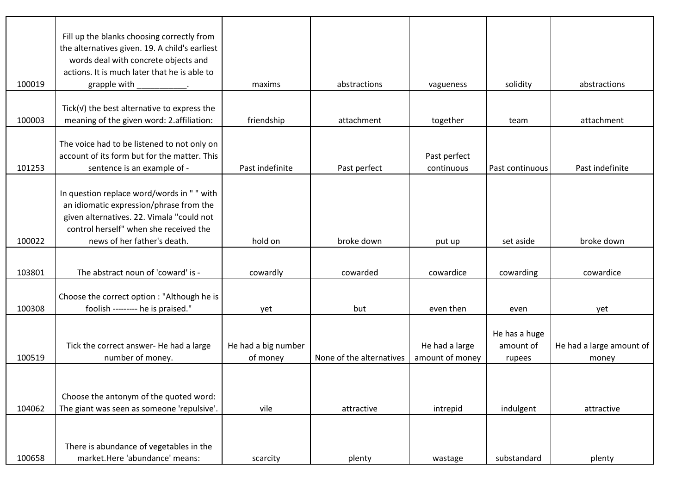| 100019 | Fill up the blanks choosing correctly from<br>the alternatives given. 19. A child's earliest<br>words deal with concrete objects and<br>actions. It is much later that he is able to<br>grapple with        | maxims                          | abstractions             | vagueness                         | solidity                             | abstractions                      |
|--------|-------------------------------------------------------------------------------------------------------------------------------------------------------------------------------------------------------------|---------------------------------|--------------------------|-----------------------------------|--------------------------------------|-----------------------------------|
|        |                                                                                                                                                                                                             |                                 |                          |                                   |                                      |                                   |
| 100003 | Tick( $V$ ) the best alternative to express the<br>meaning of the given word: 2.affiliation:                                                                                                                | friendship                      | attachment               | together                          | team                                 | attachment                        |
| 101253 | The voice had to be listened to not only on<br>account of its form but for the matter. This<br>sentence is an example of -                                                                                  | Past indefinite                 | Past perfect             | Past perfect<br>continuous        | Past continuous                      | Past indefinite                   |
| 100022 | In question replace word/words in " " with<br>an idiomatic expression/phrase from the<br>given alternatives. 22. Vimala "could not<br>control herself" when she received the<br>news of her father's death. | hold on                         | broke down               |                                   | set aside                            | broke down                        |
|        |                                                                                                                                                                                                             |                                 |                          | put up                            |                                      |                                   |
| 103801 | The abstract noun of 'coward' is -                                                                                                                                                                          | cowardly                        | cowarded                 | cowardice                         | cowarding                            | cowardice                         |
| 100308 | Choose the correct option : "Although he is<br>foolish --------- he is praised."                                                                                                                            | yet                             | but                      | even then                         | even                                 | yet                               |
| 100519 | Tick the correct answer- He had a large<br>number of money.                                                                                                                                                 | He had a big number<br>of money | None of the alternatives | He had a large<br>amount of money | He has a huge<br>amount of<br>rupees | He had a large amount of<br>money |
| 104062 | Choose the antonym of the quoted word:<br>The giant was seen as someone 'repulsive'.                                                                                                                        | vile                            | attractive               | intrepid                          | indulgent                            | attractive                        |
| 100658 | There is abundance of vegetables in the<br>market.Here 'abundance' means:                                                                                                                                   | scarcity                        | plenty                   | wastage                           | substandard                          | plenty                            |